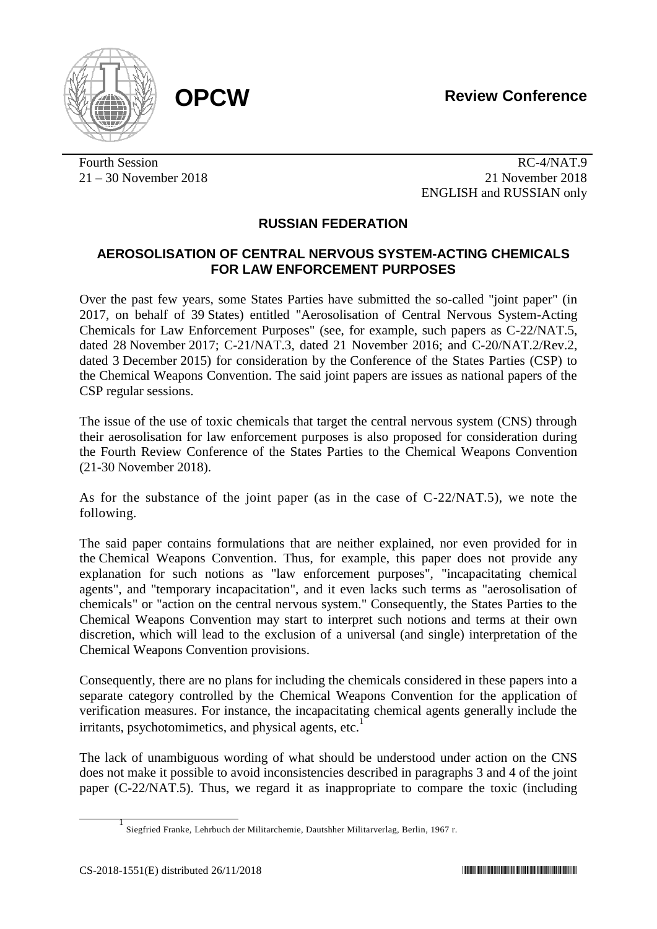**OPCW Review Conference**



Fourth Session RC-4/NAT.9 21 – 30 November 2018 21 November 2018 ENGLISH and RUSSIAN only

## **RUSSIAN FEDERATION**

## **AEROSOLISATION OF CENTRAL NERVOUS SYSTEM-ACTING CHEMICALS FOR LAW ENFORCEMENT PURPOSES**

Over the past few years, some States Parties have submitted the so-called "joint paper" (in 2017, on behalf of 39 States) entitled "Aerosolisation of Central Nervous System-Acting Chemicals for Law Enforcement Purposes" (see, for example, such papers as C-22/NAT.5, dated 28 November 2017; C-21/NAT.3, dated 21 November 2016; and C-20/NAT.2/Rev.2, dated 3 December 2015) for consideration by the Conference of the States Parties (CSP) to the Chemical Weapons Convention. The said joint papers are issues as national papers of the CSP regular sessions.

The issue of the use of toxic chemicals that target the central nervous system (CNS) through their aerosolisation for law enforcement purposes is also proposed for consideration during the Fourth Review Conference of the States Parties to the Chemical Weapons Convention (21-30 November 2018).

As for the substance of the joint paper (as in the case of C-22/NAT.5), we note the following.

The said paper contains formulations that are neither explained, nor even provided for in the Chemical Weapons Convention. Thus, for example, this paper does not provide any explanation for such notions as "law enforcement purposes", "incapacitating chemical agents", and "temporary incapacitation", and it even lacks such terms as "aerosolisation of chemicals" or "action on the central nervous system." Consequently, the States Parties to the Chemical Weapons Convention may start to interpret such notions and terms at their own discretion, which will lead to the exclusion of a universal (and single) interpretation of the Chemical Weapons Convention provisions.

Consequently, there are no plans for including the chemicals considered in these papers into a separate category controlled by the Chemical Weapons Convention for the application of verification measures. For instance, the incapacitating chemical agents generally include the irritants, psychotomimetics, and physical agents, etc.<sup>1</sup>

The lack of unambiguous wording of what should be understood under action on the CNS does not make it possible to avoid inconsistencies described in paragraphs 3 and 4 of the joint paper (C-22/NAT.5). Thus, we regard it as inappropriate to compare the toxic (including

 $\frac{1}{1}$ Siegfried Franke, Lehrbuch der Militarchemie, Dautshher Militarverlag, Berlin, 1967 r.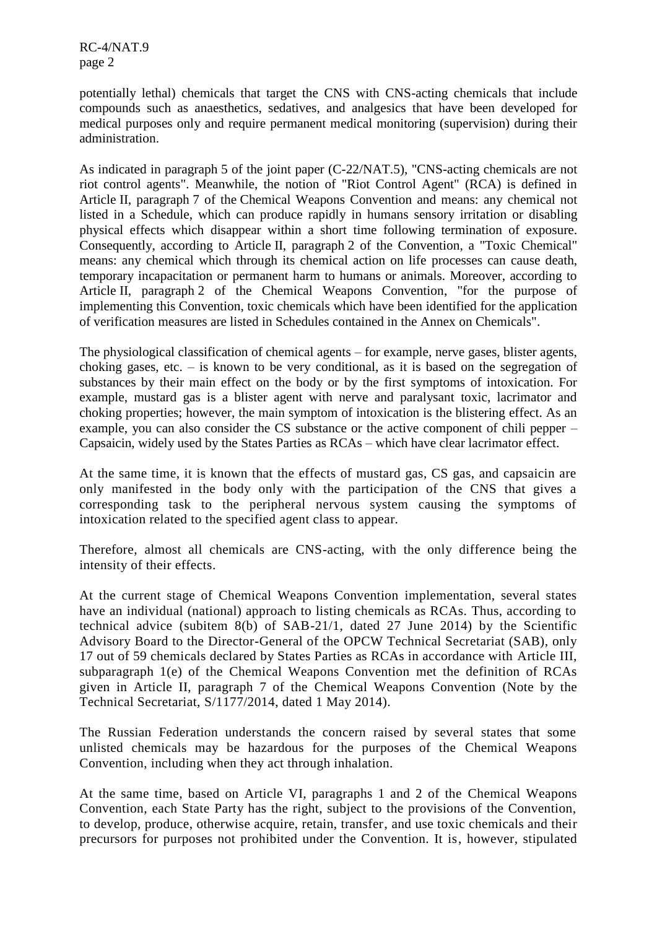RC-4/NAT.9 page 2

potentially lethal) chemicals that target the CNS with CNS-acting chemicals that include compounds such as anaesthetics, sedatives, and analgesics that have been developed for medical purposes only and require permanent medical monitoring (supervision) during their administration.

As indicated in paragraph 5 of the joint paper (C-22/NAT.5), "CNS-acting chemicals are not riot control agents". Meanwhile, the notion of "Riot Control Agent" (RCA) is defined in Article II, paragraph 7 of the Chemical Weapons Convention and means: any chemical not listed in a Schedule, which can produce rapidly in humans sensory irritation or disabling physical effects which disappear within a short time following termination of exposure. Consequently, according to Article II, paragraph 2 of the Convention, a "Toxic Chemical" means: any chemical which through its chemical action on life processes can cause death, temporary incapacitation or permanent harm to humans or animals. Moreover, according to Article II, paragraph 2 of the Chemical Weapons Convention, "for the purpose of implementing this Convention, toxic chemicals which have been identified for the application of verification measures are listed in Schedules contained in the Annex on Chemicals".

The physiological classification of chemical agents – for example, nerve gases, blister agents, choking gases, etc. – is known to be very conditional, as it is based on the segregation of substances by their main effect on the body or by the first symptoms of intoxication. For example, mustard gas is a blister agent with nerve and paralysant toxic, lacrimator and choking properties; however, the main symptom of intoxication is the blistering effect. As an example, you can also consider the CS substance or the active component of chili pepper – Capsaicin, widely used by the States Parties as RCAs – which have clear lacrimator effect.

At the same time, it is known that the effects of mustard gas, CS gas, and capsaicin are only manifested in the body only with the participation of the CNS that gives a corresponding task to the peripheral nervous system causing the symptoms of intoxication related to the specified agent class to appear.

Therefore, almost all chemicals are CNS-acting, with the only difference being the intensity of their effects.

At the current stage of Chemical Weapons Convention implementation, several states have an individual (national) approach to listing chemicals as RCAs. Thus, according to technical advice (subitem 8(b) of SAB-21/1, dated 27 June 2014) by the Scientific Advisory Board to the Director-General of the OPCW Technical Secretariat (SAB), only 17 out of 59 chemicals declared by States Parties as RCAs in accordance with Article III, subparagraph 1(e) of the Chemical Weapons Convention met the definition of RCAs given in Article II, paragraph 7 of the Chemical Weapons Convention (Note by the Technical Secretariat, S/1177/2014, dated 1 May 2014).

The Russian Federation understands the concern raised by several states that some unlisted chemicals may be hazardous for the purposes of the Chemical Weapons Convention, including when they act through inhalation.

At the same time, based on Article VI, paragraphs 1 and 2 of the Chemical Weapons Convention, each State Party has the right, subject to the provisions of the Convention, to develop, produce, otherwise acquire, retain, transfer, and use toxic chemicals and their precursors for purposes not prohibited under the Convention. It is, however, stipulated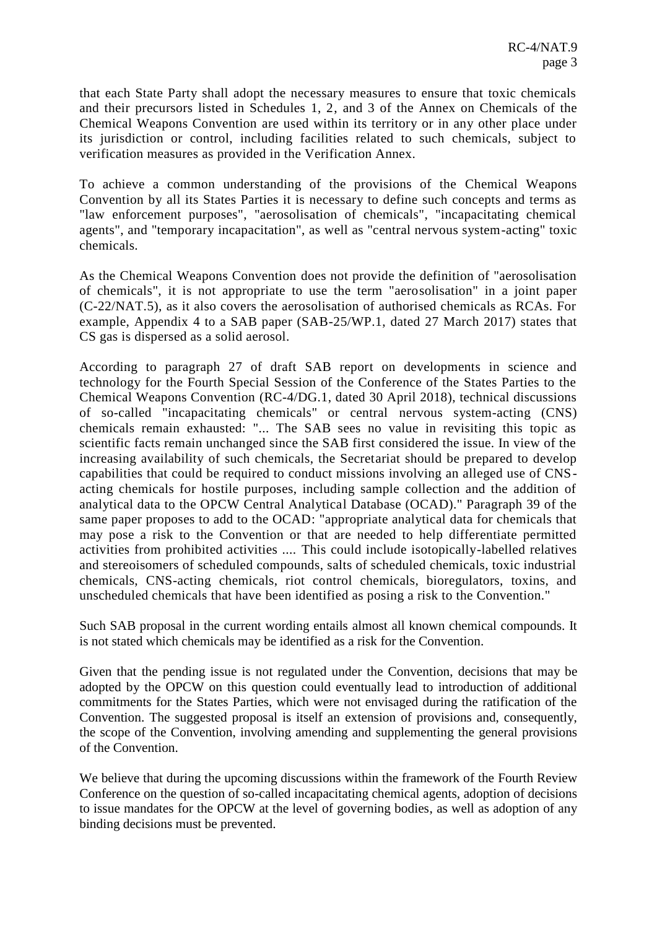that each State Party shall adopt the necessary measures to ensure that toxic chemicals and their precursors listed in Schedules 1, 2, and 3 of the Annex on Chemicals of the Chemical Weapons Convention are used within its territory or in any other place under its jurisdiction or control, including facilities related to such chemicals, subject to verification measures as provided in the Verification Annex.

To achieve a common understanding of the provisions of the Chemical Weapons Convention by all its States Parties it is necessary to define such concepts and terms as "law enforcement purposes", "aerosolisation of chemicals", "incapacitating chemical agents", and "temporary incapacitation", as well as "central nervous system-acting" toxic chemicals.

As the Chemical Weapons Convention does not provide the definition of "aerosolisation of chemicals", it is not appropriate to use the term "aerosolisation" in a joint paper (C-22/NAT.5), as it also covers the aerosolisation of authorised chemicals as RCAs. For example, Appendix 4 to a SAB paper (SAB-25/WP.1, dated 27 March 2017) states that CS gas is dispersed as a solid aerosol.

According to paragraph 27 of draft SAB report on developments in science and technology for the Fourth Special Session of the Conference of the States Parties to the Chemical Weapons Convention (RC-4/DG.1, dated 30 April 2018), technical discussions of so-called "incapacitating chemicals" or central nervous system-acting (CNS) chemicals remain exhausted: "... The SAB sees no value in revisiting this topic as scientific facts remain unchanged since the SAB first considered the issue. In view of the increasing availability of such chemicals, the Secretariat should be prepared to develop capabilities that could be required to conduct missions involving an alleged use of CNSacting chemicals for hostile purposes, including sample collection and the addition of analytical data to the OPCW Central Analytical Database (OCAD)." Paragraph 39 of the same paper proposes to add to the OCAD: "appropriate analytical data for chemicals that may pose a risk to the Convention or that are needed to help differentiate permitted activities from prohibited activities .... This could include isotopically-labelled relatives and stereoisomers of scheduled compounds, salts of scheduled chemicals, toxic industrial chemicals, CNS-acting chemicals, riot control chemicals, bioregulators, toxins, and unscheduled chemicals that have been identified as posing a risk to the Convention."

Such SAB proposal in the current wording entails almost all known chemical compounds. It is not stated which chemicals may be identified as a risk for the Convention.

Given that the pending issue is not regulated under the Convention, decisions that may be adopted by the OPCW on this question could eventually lead to introduction of additional commitments for the States Parties, which were not envisaged during the ratification of the Convention. The suggested proposal is itself an extension of provisions and, consequently, the scope of the Convention, involving amending and supplementing the general provisions of the Convention.

We believe that during the upcoming discussions within the framework of the Fourth Review Conference on the question of so-called incapacitating chemical agents, adoption of decisions to issue mandates for the OPCW at the level of governing bodies, as well as adoption of any binding decisions must be prevented.